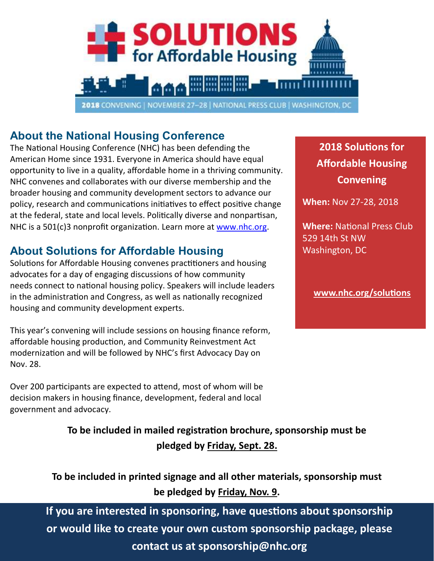

#### **About the National Housing Conference**

The National Housing Conference (NHC) has been defending the American Home since 1931. Everyone in America should have equal opportunity to live in a quality, affordable home in a thriving community. NHC convenes and collaborates with our diverse membership and the broader housing and community development sectors to advance our policy, research and communications initiatives to effect positive change at the federal, state and local levels. Politically diverse and nonpartisan, NHC is a 501(c)3 nonprofit organization. Learn more at [www.nhc.org.](http://www.nhc.org/)

#### **About Solutions for Affordable Housing**

Solutions for Affordable Housing convenes practitioners and housing advocates for a day of engaging discussions of how community needs connect to national housing policy. Speakers will include leaders in the administration and Congress, as well as nationally recognized housing and community development experts.

This year's convening will include sessions on housing finance reform, affordable housing production, and Community Reinvestment Act modernization and will be followed by NHC's first Advocacy Day on Nov. 28.

Over 200 participants are expected to attend, most of whom will be decision makers in housing finance, development, federal and local government and advocacy.

> **To be included in mailed registration brochure, sponsorship must be pledged by Friday, Sept. 28.**

#### **To be included in printed signage and all other materials, sponsorship must be pledged by Friday, Nov. 9.**

**If you are interested in sponsoring, have questions about sponsorship or would like to create your own custom sponsorship package, please contact us at sponsorship@nhc.org**

**2018 Solutions for Affordable Housing Convening**

**When:** Nov 27-28, 2018

**Where:** National Press Club 529 14th St NW Washington, DC

**[www.nhc.org/solutions](http://www.nhc.org/solutions)**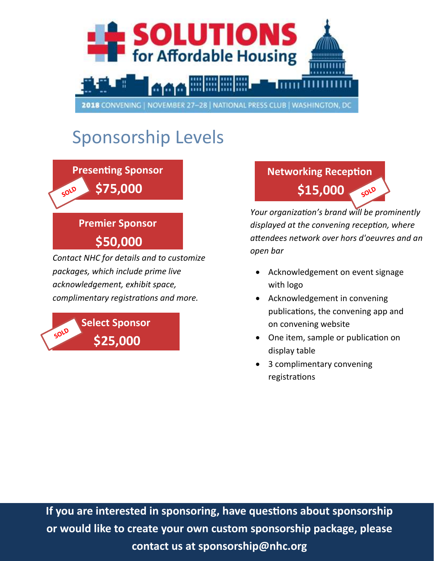

# Sponsorship Levels

**Presenting Sponsor \$75,000**  SOLD

#### **Premier Sponsor**

**\$50,000** 

*Contact NHC for details and to customize packages, which include prime live acknowledgement, exhibit space, complimentary registrations and more.*

**Select Sponsor** SOLD **\$25,000** 

#### **Networking Reception \$15,000**  SOLD

*Your organization's brand will be prominently displayed at the convening reception, where attendees network over hors d'oeuvres and an open bar*

- Acknowledgement on event signage with logo
- Acknowledgement in convening publications, the convening app and on convening website
- One item, sample or publication on display table
- 3 complimentary convening registrations

**If you are interested in sponsoring, have questions about sponsorship or would like to create your own custom sponsorship package, please contact us at sponsorship@nhc.org**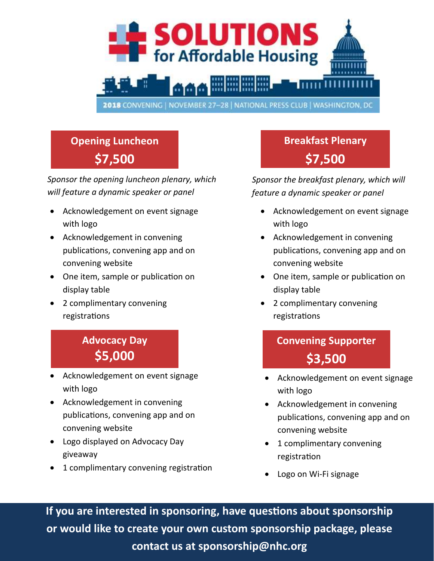

# **Opening Luncheon \$7,500**

*Sponsor the opening luncheon plenary, which will feature a dynamic speaker or panel*

- Acknowledgement on event signage with logo
- Acknowledgement in convening publications, convening app and on convening website
- One item, sample or publication on display table
- 2 complimentary convening registrations

#### **Advocacy Day \$5,000**

- Acknowledgement on event signage with logo
- Acknowledgement in convening publications, convening app and on convening website
- Logo displayed on Advocacy Day giveaway
- 1 complimentary convening registration

# **Breakfast Plenary \$7,500**

*Sponsor the breakfast plenary, which will feature a dynamic speaker or panel*

- Acknowledgement on event signage with logo
- Acknowledgement in convening publications, convening app and on convening website
- One item, sample or publication on display table
- 2 complimentary convening registrations

# **Convening Supporter \$3,500**

- Acknowledgement on event signage with logo
- Acknowledgement in convening publications, convening app and on convening website
- 1 complimentary convening registration
- Logo on Wi-Fi signage

**If you are interested in sponsoring, have questions about sponsorship or would like to create your own custom sponsorship package, please contact us at sponsorship@nhc.org**